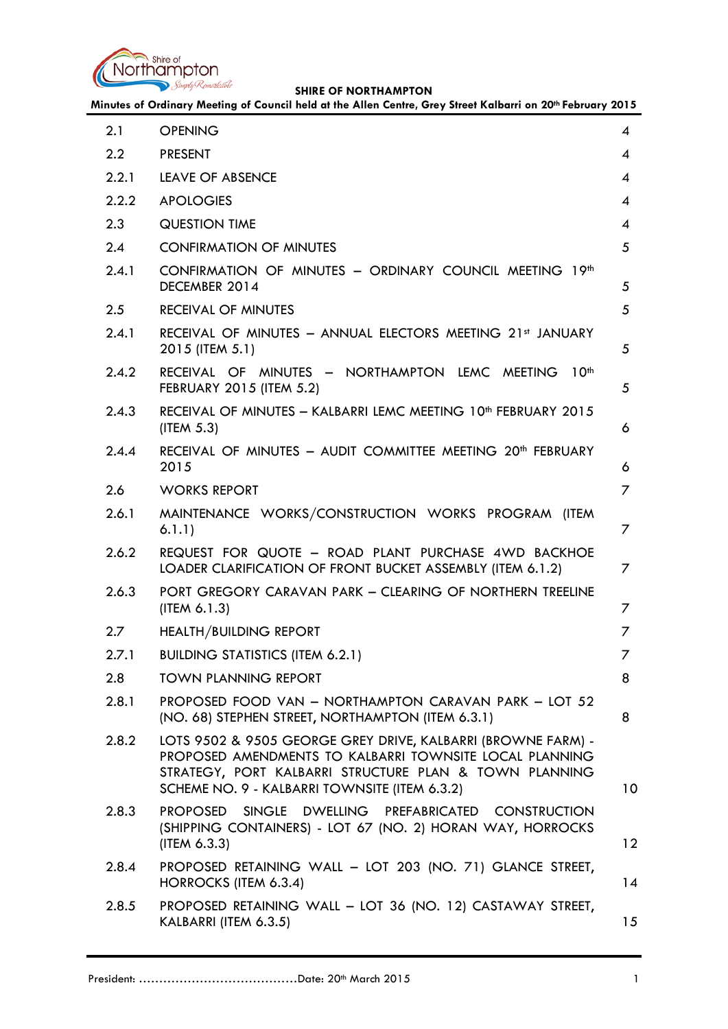

|  |  |  | Minutes of Ordinary Meeting of Council held at the Allen Centre, Grey Street Kalbarri on 20th February 2015 |
|--|--|--|-------------------------------------------------------------------------------------------------------------|
|--|--|--|-------------------------------------------------------------------------------------------------------------|

| 2.1   | <b>OPENING</b>                                                                                                                                                                                                                     | $\boldsymbol{\mathcal{A}}$ |
|-------|------------------------------------------------------------------------------------------------------------------------------------------------------------------------------------------------------------------------------------|----------------------------|
| 2.2   | <b>PRESENT</b>                                                                                                                                                                                                                     | 4                          |
| 2.2.1 | LEAVE OF ABSENCE                                                                                                                                                                                                                   | $\overline{A}$             |
| 2.2.2 | <b>APOLOGIES</b>                                                                                                                                                                                                                   | 4                          |
| 2.3   | <b>QUESTION TIME</b>                                                                                                                                                                                                               | 4                          |
| 2.4   | <b>CONFIRMATION OF MINUTES</b>                                                                                                                                                                                                     | 5                          |
| 2.4.1 | CONFIRMATION OF MINUTES - ORDINARY COUNCIL MEETING 19th<br>DECEMBER 2014                                                                                                                                                           | 5                          |
| 2.5   | <b>RECEIVAL OF MINUTES</b>                                                                                                                                                                                                         | 5                          |
| 2.4.1 | RECEIVAL OF MINUTES - ANNUAL ELECTORS MEETING 21st JANUARY<br>2015 (ITEM 5.1)                                                                                                                                                      | 5                          |
| 2.4.2 | RECEIVAL OF MINUTES - NORTHAMPTON LEMC MEETING 10 <sup>th</sup><br>FEBRUARY 2015 (ITEM 5.2)                                                                                                                                        | 5                          |
| 2.4.3 | RECEIVAL OF MINUTES - KALBARRI LEMC MEETING 10 <sup>th</sup> FEBRUARY 2015<br>(ITER 5.3)                                                                                                                                           | 6                          |
| 2.4.4 | RECEIVAL OF MINUTES - AUDIT COMMITTEE MEETING 20 <sup>th</sup> FEBRUARY<br>2015                                                                                                                                                    | 6                          |
| 2.6   | <b>WORKS REPORT</b>                                                                                                                                                                                                                | 7                          |
| 2.6.1 | MAINTENANCE WORKS/CONSTRUCTION WORKS PROGRAM (ITEM<br>6.1.1)                                                                                                                                                                       | 7                          |
| 2.6.2 | REQUEST FOR QUOTE - ROAD PLANT PURCHASE 4WD BACKHOE<br>LOADER CLARIFICATION OF FRONT BUCKET ASSEMBLY (ITEM 6.1.2)                                                                                                                  | 7                          |
| 2.6.3 | PORT GREGORY CARAVAN PARK - CLEARING OF NORTHERN TREELINE<br>(ITEM 6.1.3)                                                                                                                                                          | 7                          |
| 2.7   | <b>HEALTH/BUILDING REPORT</b>                                                                                                                                                                                                      | 7                          |
| 2.7.1 | <b>BUILDING STATISTICS (ITEM 6.2.1)</b>                                                                                                                                                                                            | $\overline{7}$             |
| 2.8   | <b>TOWN PLANNING REPORT</b>                                                                                                                                                                                                        | 8                          |
| 2.8.1 | PROPOSED FOOD VAN - NORTHAMPTON CARAVAN PARK - LOT 52<br>(NO. 68) STEPHEN STREET, NORTHAMPTON (ITEM 6.3.1)                                                                                                                         | 8                          |
| 2.8.2 | LOTS 9502 & 9505 GEORGE GREY DRIVE, KALBARRI (BROWNE FARM) -<br>PROPOSED AMENDMENTS TO KALBARRI TOWNSITE LOCAL PLANNING<br>STRATEGY, PORT KALBARRI STRUCTURE PLAN & TOWN PLANNING<br>SCHEME NO. 9 - KALBARRI TOWNSITE (ITEM 6.3.2) | 10 <sup>°</sup>            |
| 2.8.3 | <b>PROPOSED</b><br>SINGLE DWELLING PREFABRICATED CONSTRUCTION<br>(SHIPPING CONTAINERS) - LOT 67 (NO. 2) HORAN WAY, HORROCKS<br>(IFEM 6.3.3)                                                                                        | 12                         |
| 2.8.4 | PROPOSED RETAINING WALL - LOT 203 (NO. 71) GLANCE STREET,<br>HORROCKS (ITEM 6.3.4)                                                                                                                                                 | 14                         |
| 2.8.5 | PROPOSED RETAINING WALL - LOT 36 (NO. 12) CASTAWAY STREET,<br>KALBARRI (ITEM 6.3.5)                                                                                                                                                | 15                         |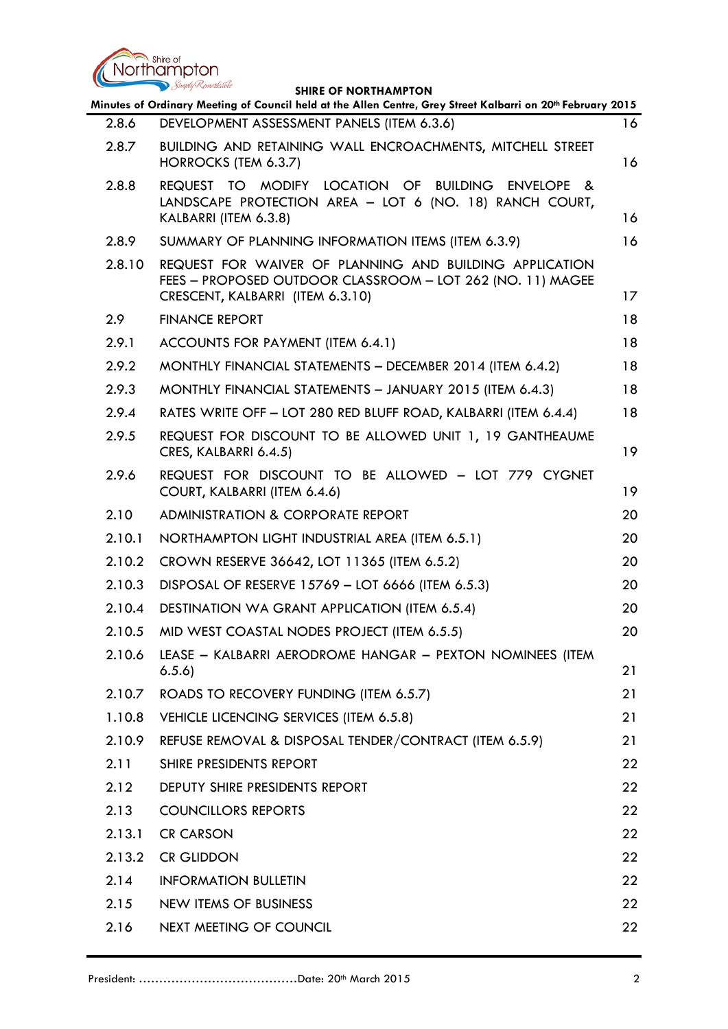

|        | Simply Remarkable<br><b>SHIRE OF NORTHAMPTON</b>                                                                                                                  |                 |
|--------|-------------------------------------------------------------------------------------------------------------------------------------------------------------------|-----------------|
|        | Minutes of Ordinary Meeting of Council held at the Allen Centre, Grey Street Kalbarri on 20th February 2015                                                       |                 |
| 2.8.6  | DEVELOPMENT ASSESSMENT PANELS (ITEM 6.3.6)                                                                                                                        | 16              |
| 2.8.7  | BUILDING AND RETAINING WALL ENCROACHMENTS, MITCHELL STREET<br>HORROCKS (TEM 6.3.7)                                                                                | 16              |
| 2.8.8  | MODIFY LOCATION OF<br><b>BUILDING</b><br>REQUEST TO<br><b>ENVELOPE</b><br>- &<br>LANDSCAPE PROTECTION AREA - LOT 6 (NO. 18) RANCH COURT,<br>KALBARRI (ITEM 6.3.8) | 16              |
| 2.8.9  | SUMMARY OF PLANNING INFORMATION ITEMS (ITEM 6.3.9)                                                                                                                | 16              |
| 2.8.10 | REQUEST FOR WAIVER OF PLANNING AND BUILDING APPLICATION<br>FEES - PROPOSED OUTDOOR CLASSROOM - LOT 262 (NO. 11) MAGEE<br>CRESCENT, KALBARRI (ITEM 6.3.10)         | 17 <sub>2</sub> |
| 2.9    | <b>FINANCE REPORT</b>                                                                                                                                             | 18              |
| 2.9.1  | ACCOUNTS FOR PAYMENT (ITEM 6.4.1)                                                                                                                                 | 18              |
| 2.9.2  | MONTHLY FINANCIAL STATEMENTS - DECEMBER 2014 (ITEM 6.4.2)                                                                                                         | 18              |
| 2.9.3  | MONTHLY FINANCIAL STATEMENTS - JANUARY 2015 (ITEM 6.4.3)                                                                                                          | 18              |
| 2.9.4  | RATES WRITE OFF - LOT 280 RED BLUFF ROAD, KALBARRI (ITEM 6.4.4)                                                                                                   | 18              |
| 2.9.5  | REQUEST FOR DISCOUNT TO BE ALLOWED UNIT 1, 19 GANTHEAUME<br>CRES, KALBARRI 6.4.5)                                                                                 | 19              |
| 2.9.6  | REQUEST FOR DISCOUNT TO BE ALLOWED - LOT 779 CYGNET<br>COURT, KALBARRI (ITEM 6.4.6)                                                                               | 19              |
| 2.10   | <b>ADMINISTRATION &amp; CORPORATE REPORT</b>                                                                                                                      | 20              |
| 2.10.1 | NORTHAMPTON LIGHT INDUSTRIAL AREA (ITEM 6.5.1)                                                                                                                    | 20              |
| 2.10.2 | CROWN RESERVE 36642, LOT 11365 (ITEM 6.5.2)                                                                                                                       | 20              |
| 2.10.3 | DISPOSAL OF RESERVE 15769 - LOT 6666 (ITEM 6.5.3)                                                                                                                 | 20              |
| 2.10.4 | <b>DESTINATION WA GRANT APPLICATION (ITEM 6.5.4)</b>                                                                                                              | 20              |
| 2.10.5 | MID WEST COASTAL NODES PROJECT (ITEM 6.5.5)                                                                                                                       | 20              |
| 2.10.6 | LEASE - KALBARRI AERODROME HANGAR - PEXTON NOMINEES (ITEM<br>6.5.6)                                                                                               | 21              |
| 2.10.7 | ROADS TO RECOVERY FUNDING (ITEM 6.5.7)                                                                                                                            | 21              |
| 1.10.8 | VEHICLE LICENCING SERVICES (ITEM 6.5.8)                                                                                                                           | 21              |
| 2.10.9 | REFUSE REMOVAL & DISPOSAL TENDER/CONTRACT (ITEM 6.5.9)                                                                                                            | 21              |
| 2.11   | SHIRE PRESIDENTS REPORT                                                                                                                                           | 22              |
| 2.12   | DEPUTY SHIRE PRESIDENTS REPORT                                                                                                                                    | 22              |
| 2.13   | <b>COUNCILLORS REPORTS</b>                                                                                                                                        | 22              |
| 2.13.1 | <b>CR CARSON</b>                                                                                                                                                  | 22              |
| 2.13.2 | <b>CR GLIDDON</b>                                                                                                                                                 | 22              |
| 2.14   | <b>INFORMATION BULLETIN</b>                                                                                                                                       | 22              |
| 2.15   | NEW ITEMS OF BUSINESS                                                                                                                                             | 22              |
| 2.16   | NEXT MEETING OF COUNCIL                                                                                                                                           | 22              |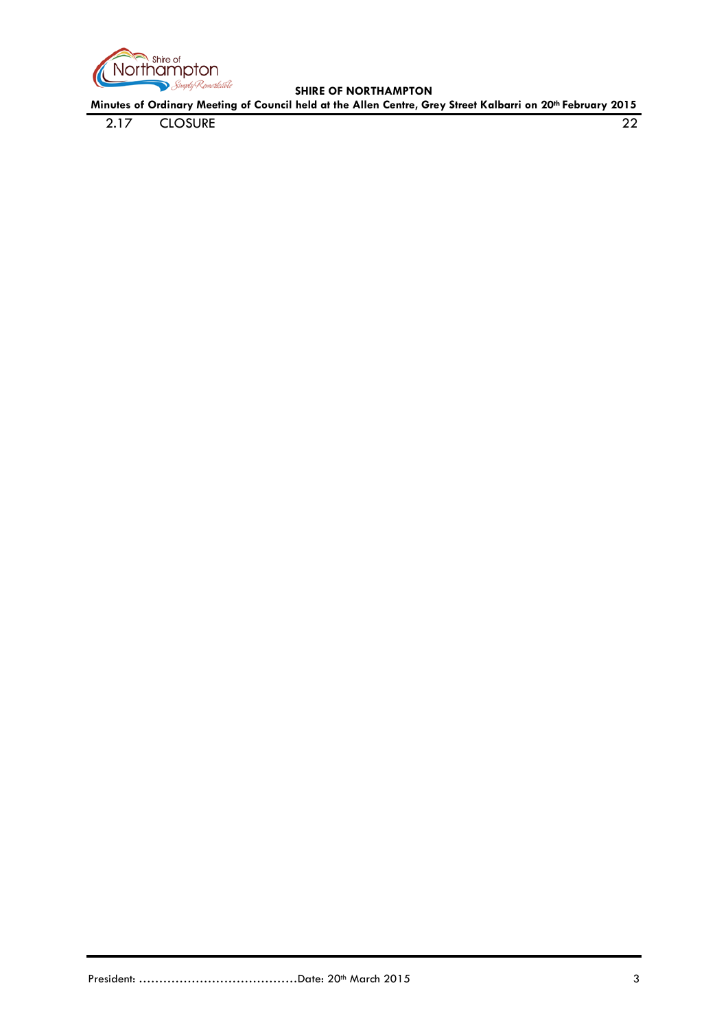

**Minutes of Ordinary Meeting of Council held at the Allen Centre, Grey Street Kalbarri on 20th February 2015**

2.17 [CLOSURE](#page-21-8) 22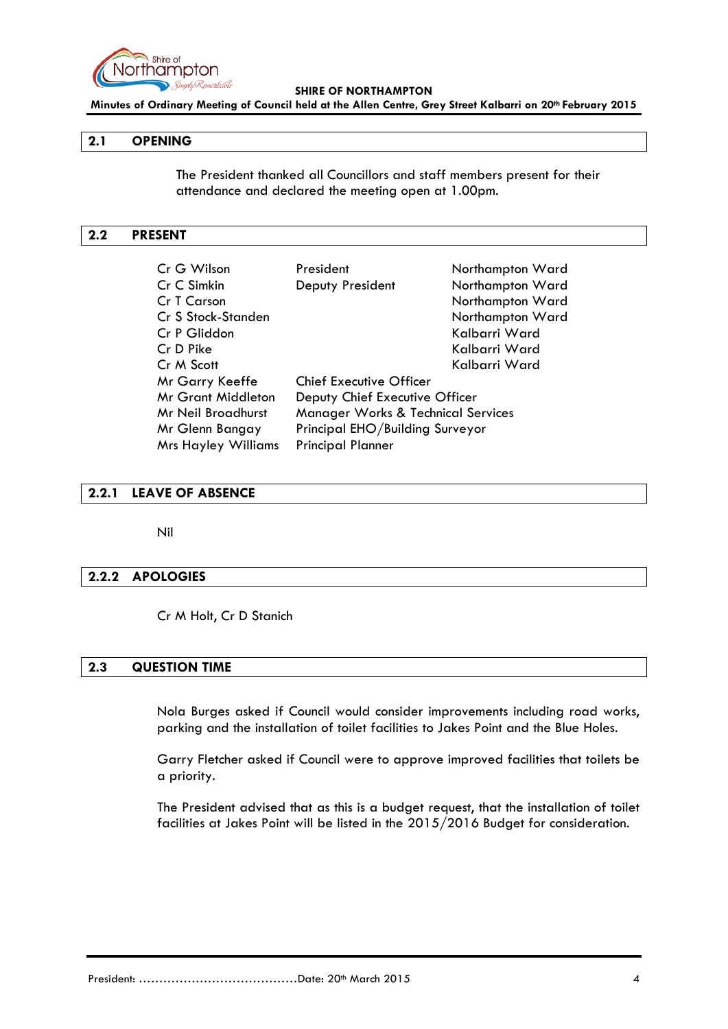

**Minutes of Ordinary Meeting of Council held at the Allen Centre, Grey Street Kalbarri on 20th February 2015**

### <span id="page-3-0"></span>**2.1 OPENING**

The President thanked all Councillors and staff members present for their attendance and declared the meeting open at 1.00pm.

#### <span id="page-3-1"></span>**2.2 PRESENT**

| Cr G Wilson                | President                                     | Northampton Ward |
|----------------------------|-----------------------------------------------|------------------|
| Cr C Simkin                | Deputy President                              | Northampton Ward |
| Cr T Carson                |                                               | Northampton Ward |
| Cr S Stock-Standen         |                                               | Northampton Ward |
| Cr P Gliddon               |                                               | Kalbarri Ward    |
| Cr D Pike                  |                                               | Kalbarri Ward    |
| Cr M Scott                 |                                               | Kalbarri Ward    |
| Mr Garry Keeffe            | <b>Chief Executive Officer</b>                |                  |
| <b>Mr Grant Middleton</b>  | Deputy Chief Executive Officer                |                  |
| Mr Neil Broadhurst         | <b>Manager Works &amp; Technical Services</b> |                  |
| Mr Glenn Bangay            | Principal EHO/Building Surveyor               |                  |
| <b>Mrs Hayley Williams</b> | <b>Principal Planner</b>                      |                  |

#### <span id="page-3-2"></span>**2.2.1 LEAVE OF ABSENCE**

Nil

#### <span id="page-3-3"></span>**2.2.2 APOLOGIES**

Cr M Holt, Cr D Stanich

# <span id="page-3-4"></span>**2.3 QUESTION TIME**

Nola Burges asked if Council would consider improvements including road works, parking and the installation of toilet facilities to Jakes Point and the Blue Holes.

Garry Fletcher asked if Council were to approve improved facilities that toilets be a priority.

The President advised that as this is a budget request, that the installation of toilet facilities at Jakes Point will be listed in the 2015/2016 Budget for consideration.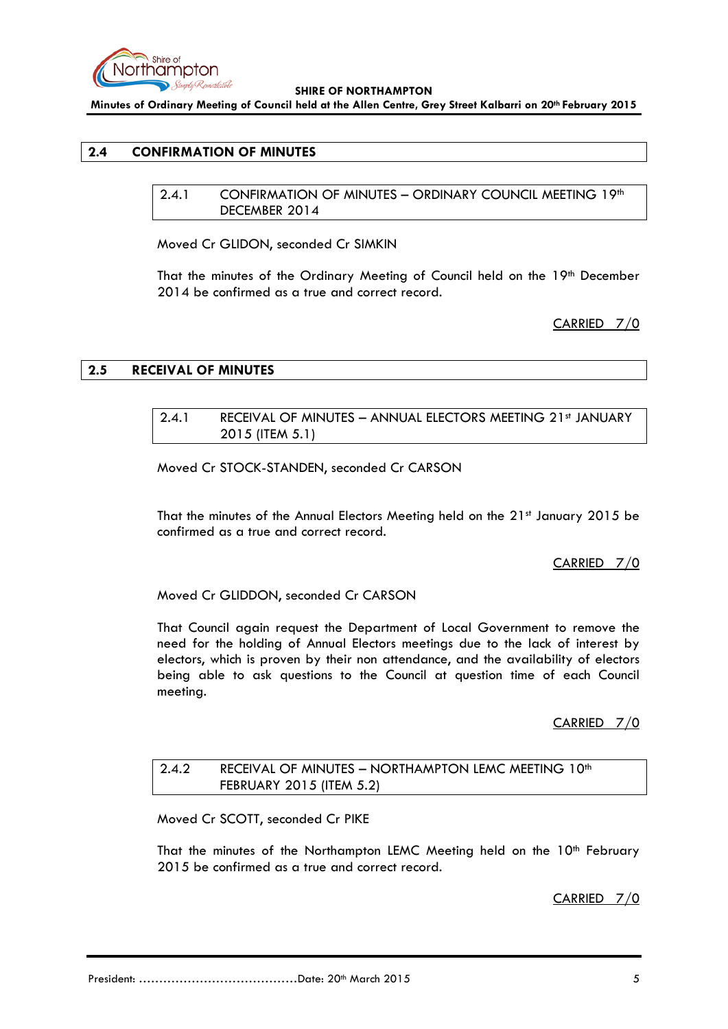

**Minutes of Ordinary Meeting of Council held at the Allen Centre, Grey Street Kalbarri on 20th February 2015**

# <span id="page-4-1"></span><span id="page-4-0"></span>**2.4 CONFIRMATION OF MINUTES**

2.4.1 CONFIRMATION OF MINUTES - ORDINARY COUNCIL MEETING 19th DECEMBER 2014

Moved Cr GLIDON, seconded Cr SIMKIN

That the minutes of the Ordinary Meeting of Council held on the 19th December 2014 be confirmed as a true and correct record.

CARRIED 7/0

#### <span id="page-4-3"></span><span id="page-4-2"></span>**2.5 RECEIVAL OF MINUTES**

## 2.4.1 RECEIVAL OF MINUTES - ANNUAL ELECTORS MEETING 21st JANUARY 2015 (ITEM 5.1)

Moved Cr STOCK-STANDEN, seconded Cr CARSON

That the minutes of the Annual Electors Meeting held on the 21st January 2015 be confirmed as a true and correct record.

CARRIED 7/0

Moved Cr GLIDDON, seconded Cr CARSON

That Council again request the Department of Local Government to remove the need for the holding of Annual Electors meetings due to the lack of interest by electors, which is proven by their non attendance, and the availability of electors being able to ask questions to the Council at question time of each Council meeting.

CARRIED 7/0

# <span id="page-4-4"></span>2.4.2 RECEIVAL OF MINUTES - NORTHAMPTON LEMC MEETING 10<sup>th</sup> FEBRUARY 2015 (ITEM 5.2)

Moved Cr SCOTT, seconded Cr PIKE

That the minutes of the Northampton LEMC Meeting held on the 10<sup>th</sup> February 2015 be confirmed as a true and correct record.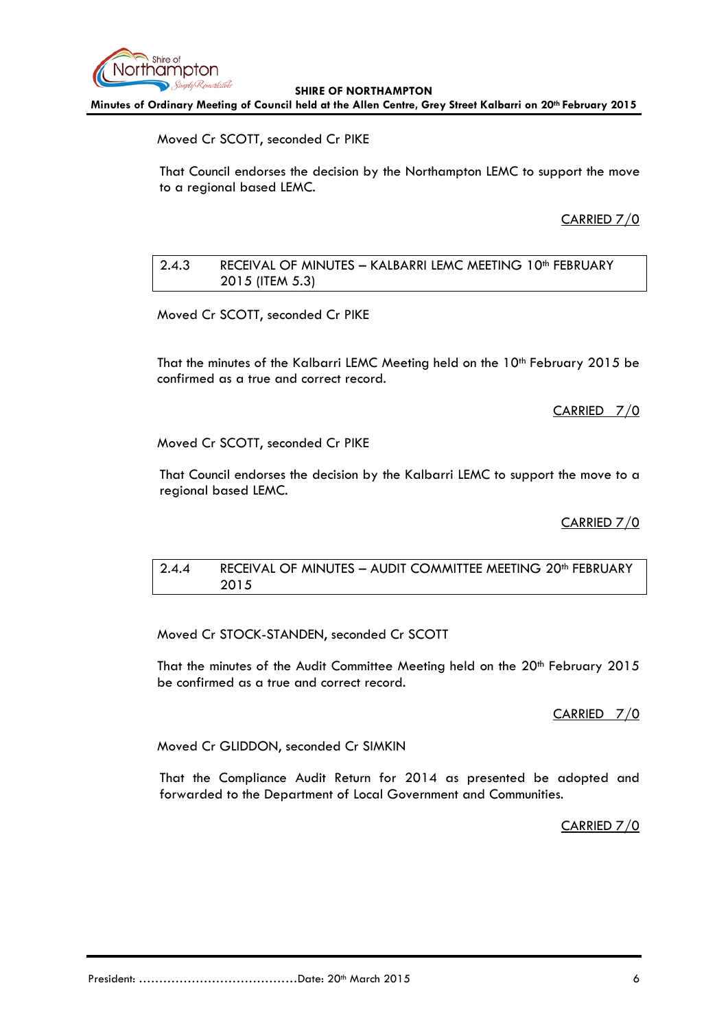

**Minutes of Ordinary Meeting of Council held at the Allen Centre, Grey Street Kalbarri on 20th February 2015**

Moved Cr SCOTT, seconded Cr PIKE

That Council endorses the decision by the Northampton LEMC to support the move to a regional based LEMC.

CARRIED 7/0

# <span id="page-5-0"></span>2.4.3 RECEIVAL OF MINUTES - KALBARRI LEMC MEETING 10<sup>th</sup> FEBRUARY 2015 (ITEM 5.3)

Moved Cr SCOTT, seconded Cr PIKE

That the minutes of the Kalbarri LEMC Meeting held on the 10<sup>th</sup> February 2015 be confirmed as a true and correct record.

CARRIED 7/0

Moved Cr SCOTT, seconded Cr PIKE

That Council endorses the decision by the Kalbarri LEMC to support the move to a regional based LEMC.

### CARRIED 7/0

## <span id="page-5-1"></span>2.4.4 RECEIVAL OF MINUTES - AUDIT COMMITTEE MEETING 20<sup>th</sup> FEBRUARY 2015

Moved Cr STOCK-STANDEN, seconded Cr SCOTT

That the minutes of the Audit Committee Meeting held on the 20<sup>th</sup> February 2015 be confirmed as a true and correct record.

CARRIED 7/0

Moved Cr GLIDDON, seconded Cr SIMKIN

That the Compliance Audit Return for 2014 as presented be adopted and forwarded to the Department of Local Government and Communities.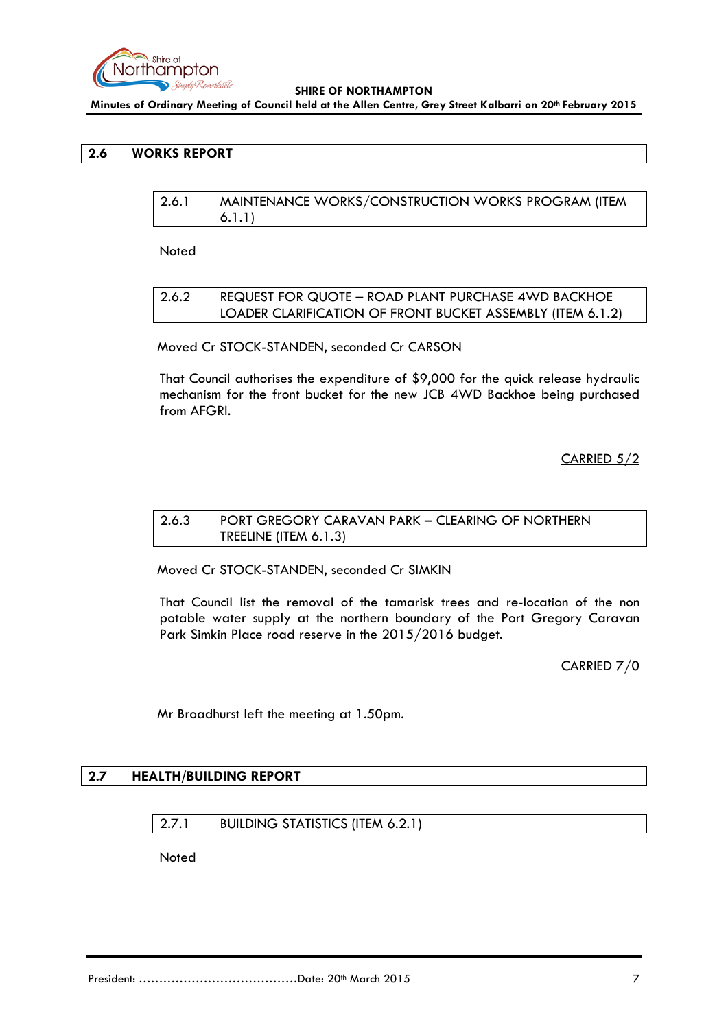

**Minutes of Ordinary Meeting of Council held at the Allen Centre, Grey Street Kalbarri on 20th February 2015**

# <span id="page-6-1"></span><span id="page-6-0"></span>**2.6 WORKS REPORT**

| 2.6.1 | MAINTENANCE WORKS/CONSTRUCTION WORKS PROGRAM (ITEM |
|-------|----------------------------------------------------|
|       | 6.1.1)                                             |

Noted

## <span id="page-6-2"></span>2.6.2 REQUEST FOR QUOTE – ROAD PLANT PURCHASE 4WD BACKHOE LOADER CLARIFICATION OF FRONT BUCKET ASSEMBLY (ITEM 6.1.2)

Moved Cr STOCK-STANDEN, seconded Cr CARSON

That Council authorises the expenditure of \$9,000 for the quick release hydraulic mechanism for the front bucket for the new JCB 4WD Backhoe being purchased from AFGRI.

CARRIED 5/2

# <span id="page-6-3"></span>2.6.3 PORT GREGORY CARAVAN PARK – CLEARING OF NORTHERN TREELINE (ITEM 6.1.3)

Moved Cr STOCK-STANDEN, seconded Cr SIMKIN

That Council list the removal of the tamarisk trees and re-location of the non potable water supply at the northern boundary of the Port Gregory Caravan Park Simkin Place road reserve in the 2015/2016 budget.

CARRIED 7/0

Mr Broadhurst left the meeting at 1.50pm.

# <span id="page-6-5"></span><span id="page-6-4"></span>**2.7 HEALTH/BUILDING REPORT**

### 2.7.1 BUILDING STATISTICS (ITEM 6.2.1)

Noted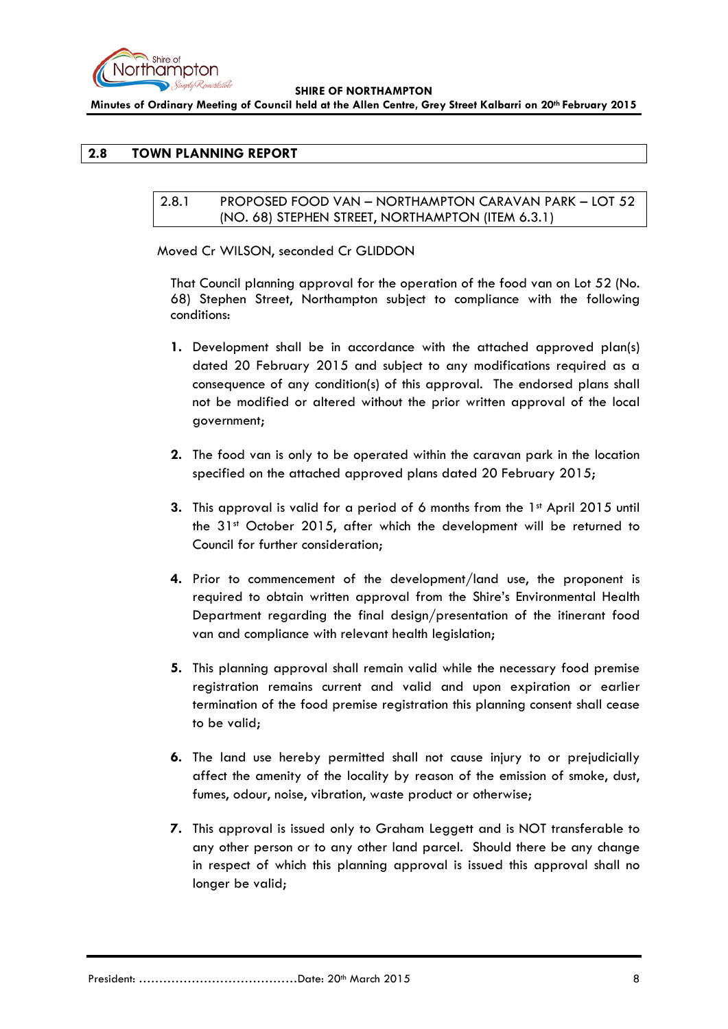

**Minutes of Ordinary Meeting of Council held at the Allen Centre, Grey Street Kalbarri on 20th February 2015**

# <span id="page-7-1"></span><span id="page-7-0"></span>**2.8 TOWN PLANNING REPORT**

## 2.8.1 PROPOSED FOOD VAN – NORTHAMPTON CARAVAN PARK – LOT 52 (NO. 68) STEPHEN STREET, NORTHAMPTON (ITEM 6.3.1)

Moved Cr WILSON, seconded Cr GLIDDON

That Council planning approval for the operation of the food van on Lot 52 (No. 68) Stephen Street, Northampton subject to compliance with the following conditions:

- **1.** Development shall be in accordance with the attached approved plan(s) dated 20 February 2015 and subject to any modifications required as a consequence of any condition(s) of this approval. The endorsed plans shall not be modified or altered without the prior written approval of the local government;
- **2.** The food van is only to be operated within the caravan park in the location specified on the attached approved plans dated 20 February 2015;
- **3.** This approval is valid for a period of 6 months from the 1<sup>st</sup> April 2015 until the 31<sup>st</sup> October 2015, after which the development will be returned to Council for further consideration;
- **4.** Prior to commencement of the development/land use, the proponent is required to obtain written approval from the Shire's Environmental Health Department regarding the final design/presentation of the itinerant food van and compliance with relevant health legislation;
- **5.** This planning approval shall remain valid while the necessary food premise registration remains current and valid and upon expiration or earlier termination of the food premise registration this planning consent shall cease to be valid;
- **6.** The land use hereby permitted shall not cause injury to or prejudicially affect the amenity of the locality by reason of the emission of smoke, dust, fumes, odour, noise, vibration, waste product or otherwise;
- **7.** This approval is issued only to Graham Leggett and is NOT transferable to any other person or to any other land parcel. Should there be any change in respect of which this planning approval is issued this approval shall no longer be valid;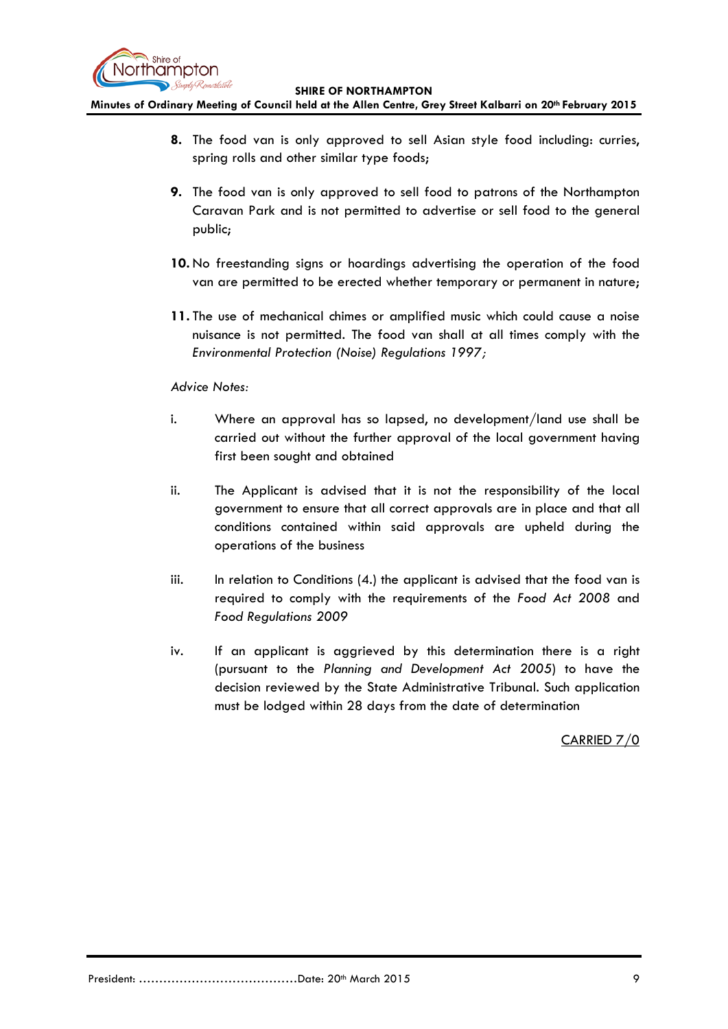

**Minutes of Ordinary Meeting of Council held at the Allen Centre, Grey Street Kalbarri on 20th February 2015**

- **8.** The food van is only approved to sell Asian style food including: curries, spring rolls and other similar type foods;
- **9.** The food van is only approved to sell food to patrons of the Northampton Caravan Park and is not permitted to advertise or sell food to the general public;
- **10.** No freestanding signs or hoardings advertising the operation of the food van are permitted to be erected whether temporary or permanent in nature;
- **11.** The use of mechanical chimes or amplified music which could cause a noise nuisance is not permitted. The food van shall at all times comply with the *Environmental Protection (Noise) Regulations 1997;*

## *Advice Notes:*

- i. Where an approval has so lapsed, no development/land use shall be carried out without the further approval of the local government having first been sought and obtained
- ii. The Applicant is advised that it is not the responsibility of the local government to ensure that all correct approvals are in place and that all conditions contained within said approvals are upheld during the operations of the business
- iii. In relation to Conditions (4.) the applicant is advised that the food van is required to comply with the requirements of the *Food Act 2008* and *Food Regulations 2009*
- iv. If an applicant is aggrieved by this determination there is a right (pursuant to the *Planning and Development Act 2005*) to have the decision reviewed by the State Administrative Tribunal. Such application must be lodged within 28 days from the date of determination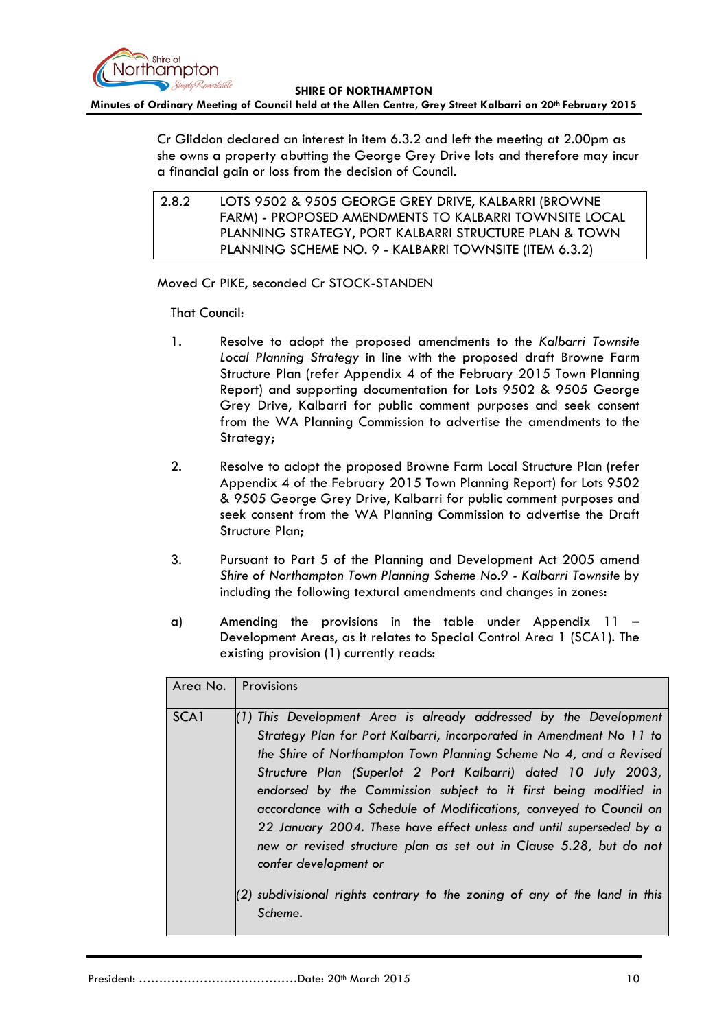

#### **Minutes of Ordinary Meeting of Council held at the Allen Centre, Grey Street Kalbarri on 20th February 2015**

Cr Gliddon declared an interest in item 6.3.2 and left the meeting at 2.00pm as she owns a property abutting the George Grey Drive lots and therefore may incur a financial gain or loss from the decision of Council.

<span id="page-9-0"></span>2.8.2 LOTS 9502 & 9505 GEORGE GREY DRIVE, KALBARRI (BROWNE FARM) - PROPOSED AMENDMENTS TO KALBARRI TOWNSITE LOCAL PLANNING STRATEGY, PORT KALBARRI STRUCTURE PLAN & TOWN PLANNING SCHEME NO. 9 - KALBARRI TOWNSITE (ITEM 6.3.2)

Moved Cr PIKE, seconded Cr STOCK-STANDEN

That Council:

- 1. Resolve to adopt the proposed amendments to the *Kalbarri Townsite Local Planning Strategy* in line with the proposed draft Browne Farm Structure Plan (refer Appendix 4 of the February 2015 Town Planning Report) and supporting documentation for Lots 9502 & 9505 George Grey Drive, Kalbarri for public comment purposes and seek consent from the WA Planning Commission to advertise the amendments to the Strategy;
- 2. Resolve to adopt the proposed Browne Farm Local Structure Plan (refer Appendix 4 of the February 2015 Town Planning Report) for Lots 9502 & 9505 George Grey Drive, Kalbarri for public comment purposes and seek consent from the WA Planning Commission to advertise the Draft Structure Plan;
- 3. Pursuant to Part 5 of the Planning and Development Act 2005 amend *Shire of Northampton Town Planning Scheme No.9 - Kalbarri Townsite* by including the following textural amendments and changes in zones:
- a) Amending the provisions in the table under Appendix 11 Development Areas, as it relates to Special Control Area 1 (SCA1). The existing provision (1) currently reads:

| Area No. | Provisions                                                                                                                                                                                                                                                                                                                                                                                                                                                                                                                                                                                                                                                                                  |
|----------|---------------------------------------------------------------------------------------------------------------------------------------------------------------------------------------------------------------------------------------------------------------------------------------------------------------------------------------------------------------------------------------------------------------------------------------------------------------------------------------------------------------------------------------------------------------------------------------------------------------------------------------------------------------------------------------------|
| SCA1     | $(1)$ This Development Area is already addressed by the Development<br>Strategy Plan for Port Kalbarri, incorporated in Amendment No 11 to<br>the Shire of Northampton Town Planning Scheme No 4, and a Revised<br>Structure Plan (Superlot 2 Port Kalbarri) dated 10 July 2003,<br>endorsed by the Commission subject to it first being modified in<br>accordance with a Schedule of Modifications, conveyed to Council on<br>22 January 2004. These have effect unless and until superseded by a<br>new or revised structure plan as set out in Clause 5.28, but do not<br>confer development or<br>(2) subdivisional rights contrary to the zoning of any of the land in this<br>Scheme. |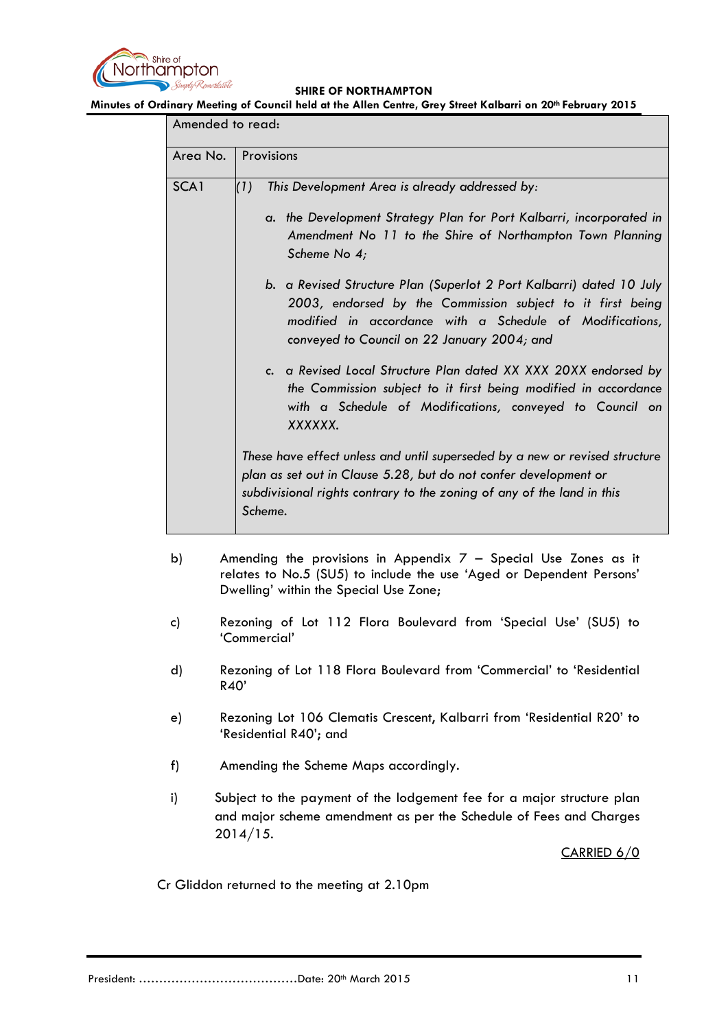

**Minutes of Ordinary Meeting of Council held at the Allen Centre, Grey Street Kalbarri on 20th February 2015**

| Amended to read: |                                                                                                                                                                                                                                                                                                                                                                                                                                                                                                                               |
|------------------|-------------------------------------------------------------------------------------------------------------------------------------------------------------------------------------------------------------------------------------------------------------------------------------------------------------------------------------------------------------------------------------------------------------------------------------------------------------------------------------------------------------------------------|
| Area No.         | Provisions                                                                                                                                                                                                                                                                                                                                                                                                                                                                                                                    |
| SCA1             | This Development Area is already addressed by:<br>(1)<br>a. the Development Strategy Plan for Port Kalbarri, incorporated in<br>Amendment No 11 to the Shire of Northampton Town Planning<br>Scheme No 4;<br>b. a Revised Structure Plan (Superlot 2 Port Kalbarri) dated 10 July<br>2003, endorsed by the Commission subject to it first being<br>modified in accordance with a Schedule of Modifications,<br>conveyed to Council on 22 January 2004; and<br>c. a Revised Local Structure Plan dated XX XXX 20XX endorsed by |
|                  | the Commission subject to it first being modified in accordance<br>with a Schedule of Modifications, conveyed to Council on<br>XXXXXX.<br>These have effect unless and until superseded by a new or revised structure<br>plan as set out in Clause 5.28, but do not confer development or<br>subdivisional rights contrary to the zoning of any of the land in this<br>Scheme.                                                                                                                                                |

- b) Amending the provisions in Appendix 7 Special Use Zones as it relates to No.5 (SU5) to include the use 'Aged or Dependent Persons' Dwelling' within the Special Use Zone;
- c) Rezoning of Lot 112 Flora Boulevard from 'Special Use' (SU5) to 'Commercial'
- d) Rezoning of Lot 118 Flora Boulevard from 'Commercial' to 'Residential R40'
- e) Rezoning Lot 106 Clematis Crescent, Kalbarri from 'Residential R20' to 'Residential R40'; and
- f) Amending the Scheme Maps accordingly.
- i) Subject to the payment of the lodgement fee for a major structure plan and major scheme amendment as per the Schedule of Fees and Charges 2014/15.

CARRIED 6/0

Cr Gliddon returned to the meeting at 2.10pm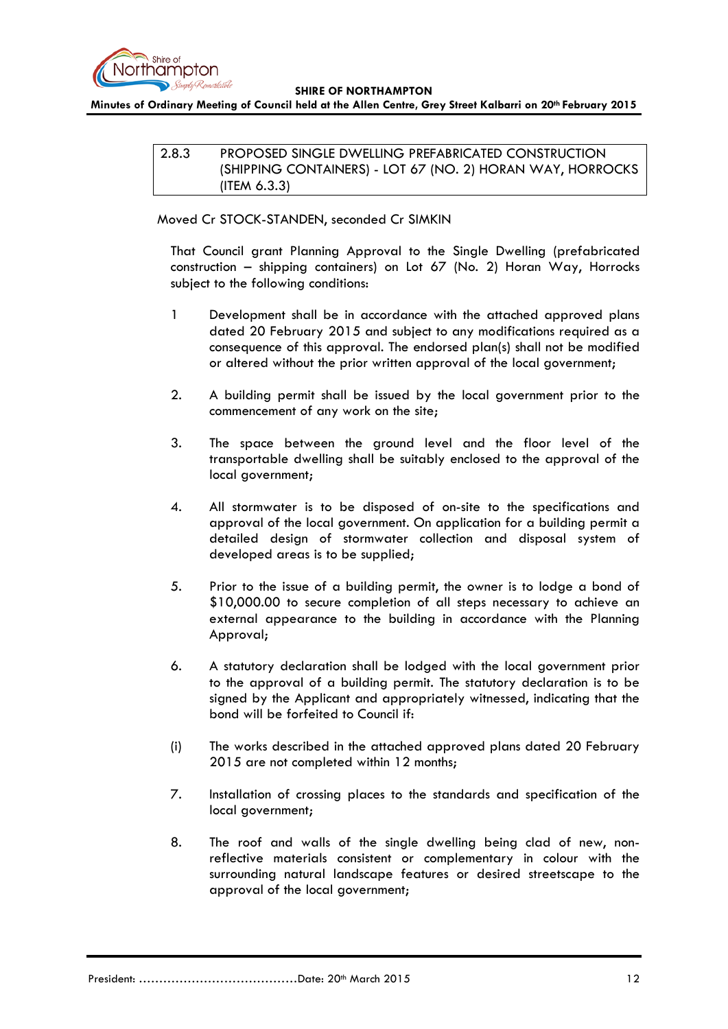

<span id="page-11-0"></span>**Minutes of Ordinary Meeting of Council held at the Allen Centre, Grey Street Kalbarri on 20th February 2015**

2.8.3 PROPOSED SINGLE DWELLING PREFABRICATED CONSTRUCTION (SHIPPING CONTAINERS) - LOT 67 (NO. 2) HORAN WAY, HORROCKS (ITEM 6.3.3)

Moved Cr STOCK-STANDEN, seconded Cr SIMKIN

That Council grant Planning Approval to the Single Dwelling (prefabricated construction – shipping containers) on Lot 67 (No. 2) Horan Way, Horrocks subject to the following conditions:

- 1 Development shall be in accordance with the attached approved plans dated 20 February 2015 and subject to any modifications required as a consequence of this approval. The endorsed plan(s) shall not be modified or altered without the prior written approval of the local government;
- 2. A building permit shall be issued by the local government prior to the commencement of any work on the site;
- 3. The space between the ground level and the floor level of the transportable dwelling shall be suitably enclosed to the approval of the local government;
- 4. All stormwater is to be disposed of on-site to the specifications and approval of the local government. On application for a building permit a detailed design of stormwater collection and disposal system of developed areas is to be supplied;
- 5. Prior to the issue of a building permit, the owner is to lodge a bond of \$10,000.00 to secure completion of all steps necessary to achieve an external appearance to the building in accordance with the Planning Approval;
- 6. A statutory declaration shall be lodged with the local government prior to the approval of a building permit. The statutory declaration is to be signed by the Applicant and appropriately witnessed, indicating that the bond will be forfeited to Council if:
- (i) The works described in the attached approved plans dated 20 February 2015 are not completed within 12 months;
- 7. Installation of crossing places to the standards and specification of the local government;
- 8. The roof and walls of the single dwelling being clad of new, nonreflective materials consistent or complementary in colour with the surrounding natural landscape features or desired streetscape to the approval of the local government;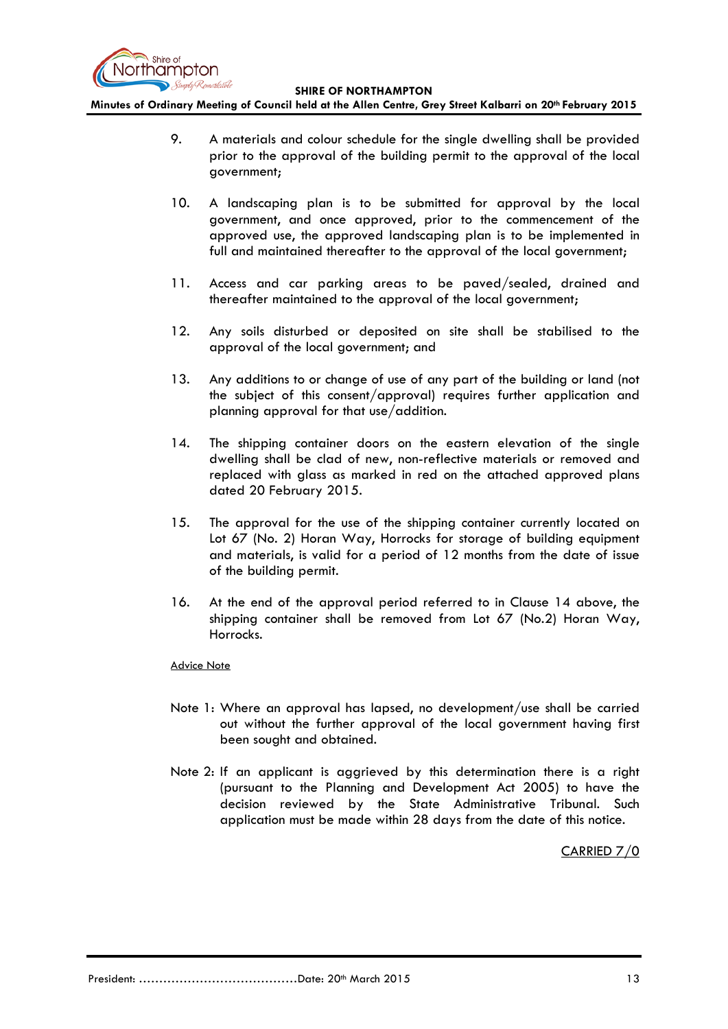

**Minutes of Ordinary Meeting of Council held at the Allen Centre, Grey Street Kalbarri on 20th February 2015**

- 9. A materials and colour schedule for the single dwelling shall be provided prior to the approval of the building permit to the approval of the local government;
- 10. A landscaping plan is to be submitted for approval by the local government, and once approved, prior to the commencement of the approved use, the approved landscaping plan is to be implemented in full and maintained thereafter to the approval of the local government;
- 11. Access and car parking areas to be paved/sealed, drained and thereafter maintained to the approval of the local government;
- 12. Any soils disturbed or deposited on site shall be stabilised to the approval of the local government; and
- 13. Any additions to or change of use of any part of the building or land (not the subject of this consent/approval) requires further application and planning approval for that use/addition.
- 14. The shipping container doors on the eastern elevation of the single dwelling shall be clad of new, non-reflective materials or removed and replaced with glass as marked in red on the attached approved plans dated 20 February 2015.
- 15. The approval for the use of the shipping container currently located on Lot 67 (No. 2) Horan Way, Horrocks for storage of building equipment and materials, is valid for a period of 12 months from the date of issue of the building permit.
- 16. At the end of the approval period referred to in Clause 14 above, the shipping container shall be removed from Lot 67 (No.2) Horan Way, Horrocks.

#### Advice Note

- Note 1: Where an approval has lapsed, no development/use shall be carried out without the further approval of the local government having first been sought and obtained.
- Note 2: If an applicant is aggrieved by this determination there is a right (pursuant to the Planning and Development Act 2005) to have the decision reviewed by the State Administrative Tribunal. Such application must be made within 28 days from the date of this notice.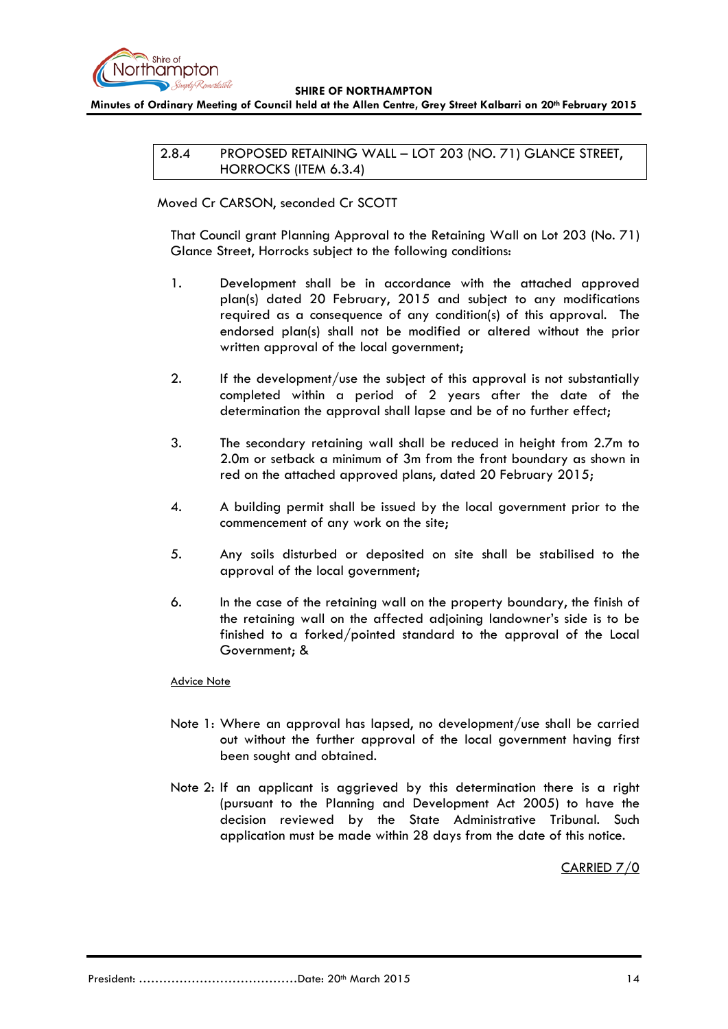

<span id="page-13-0"></span>**Minutes of Ordinary Meeting of Council held at the Allen Centre, Grey Street Kalbarri on 20th February 2015**

2.8.4 PROPOSED RETAINING WALL – LOT 203 (NO. 71) GLANCE STREET, HORROCKS (ITEM 6.3.4)

### Moved Cr CARSON, seconded Cr SCOTT

That Council grant Planning Approval to the Retaining Wall on Lot 203 (No. 71) Glance Street, Horrocks subject to the following conditions:

- 1. Development shall be in accordance with the attached approved plan(s) dated 20 February, 2015 and subject to any modifications required as a consequence of any condition(s) of this approval. The endorsed plan(s) shall not be modified or altered without the prior written approval of the local government;
- 2. If the development/use the subject of this approval is not substantially completed within a period of 2 years after the date of the determination the approval shall lapse and be of no further effect;
- 3. The secondary retaining wall shall be reduced in height from 2.7m to 2.0m or setback a minimum of 3m from the front boundary as shown in red on the attached approved plans, dated 20 February 2015;
- 4. A building permit shall be issued by the local government prior to the commencement of any work on the site;
- 5. Any soils disturbed or deposited on site shall be stabilised to the approval of the local government;
- 6. In the case of the retaining wall on the property boundary, the finish of the retaining wall on the affected adjoining landowner's side is to be finished to a forked/pointed standard to the approval of the Local Government; &

#### Advice Note

- Note 1: Where an approval has lapsed, no development/use shall be carried out without the further approval of the local government having first been sought and obtained.
- Note 2: If an applicant is aggrieved by this determination there is a right (pursuant to the Planning and Development Act 2005) to have the decision reviewed by the State Administrative Tribunal. Such application must be made within 28 days from the date of this notice.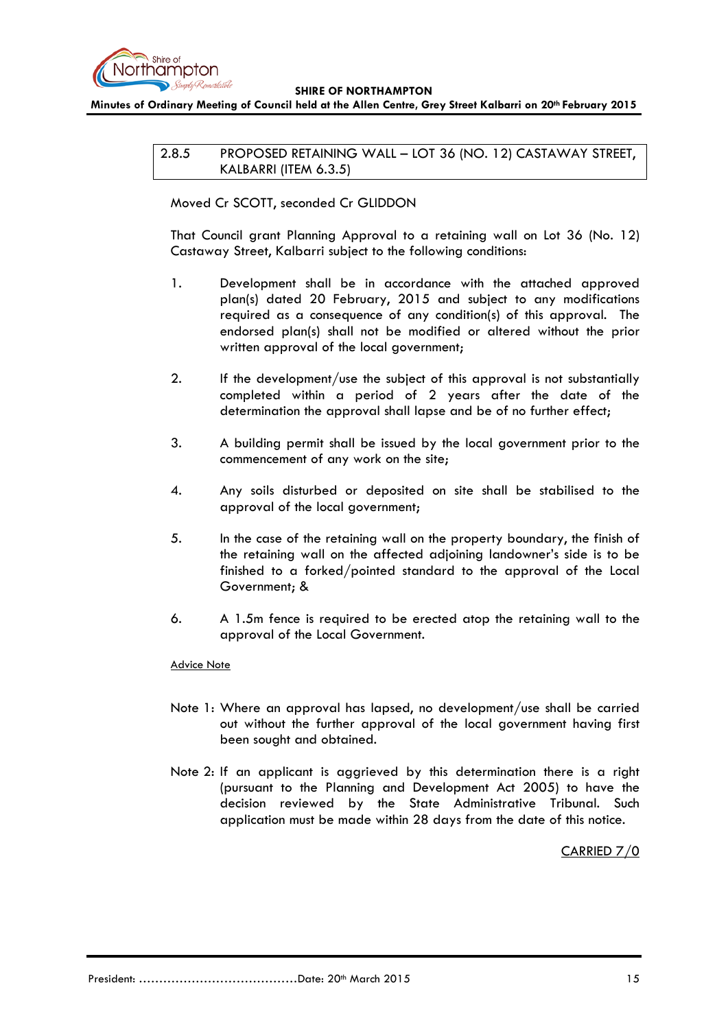

<span id="page-14-0"></span>**Minutes of Ordinary Meeting of Council held at the Allen Centre, Grey Street Kalbarri on 20th February 2015**

2.8.5 PROPOSED RETAINING WALL – LOT 36 (NO. 12) CASTAWAY STREET, KALBARRI (ITEM 6.3.5)

Moved Cr SCOTT, seconded Cr GLIDDON

That Council grant Planning Approval to a retaining wall on Lot 36 (No. 12) Castaway Street, Kalbarri subject to the following conditions:

- 1. Development shall be in accordance with the attached approved plan(s) dated 20 February, 2015 and subject to any modifications required as a consequence of any condition(s) of this approval. The endorsed plan(s) shall not be modified or altered without the prior written approval of the local government;
- 2. If the development/use the subject of this approval is not substantially completed within a period of 2 years after the date of the determination the approval shall lapse and be of no further effect;
- 3. A building permit shall be issued by the local government prior to the commencement of any work on the site;
- 4. Any soils disturbed or deposited on site shall be stabilised to the approval of the local government;
- 5. In the case of the retaining wall on the property boundary, the finish of the retaining wall on the affected adjoining landowner's side is to be finished to a forked/pointed standard to the approval of the Local Government; &
- 6. A 1.5m fence is required to be erected atop the retaining wall to the approval of the Local Government.

### Advice Note

- Note 1: Where an approval has lapsed, no development/use shall be carried out without the further approval of the local government having first been sought and obtained.
- Note 2: If an applicant is aggrieved by this determination there is a right (pursuant to the Planning and Development Act 2005) to have the decision reviewed by the State Administrative Tribunal. Such application must be made within 28 days from the date of this notice.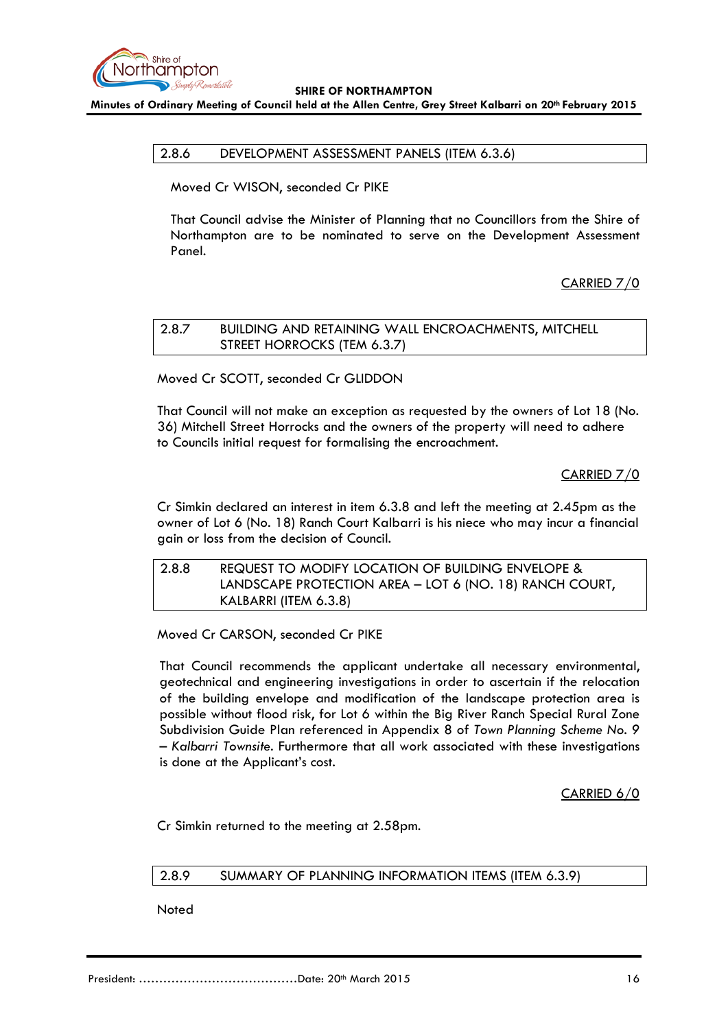

<span id="page-15-0"></span>**Minutes of Ordinary Meeting of Council held at the Allen Centre, Grey Street Kalbarri on 20th February 2015**

#### 2.8.6 DEVELOPMENT ASSESSMENT PANELS (ITEM 6.3.6)

Moved Cr WISON, seconded Cr PIKE

That Council advise the Minister of Planning that no Councillors from the Shire of Northampton are to be nominated to serve on the Development Assessment Panel.

CARRIED 7/0

<span id="page-15-1"></span>

| 2.8.7 | BUILDING AND RETAINING WALL ENCROACHMENTS, MITCHELL |
|-------|-----------------------------------------------------|
|       | STREET HORROCKS (TEM 6.3.7)                         |

Moved Cr SCOTT, seconded Cr GLIDDON

That Council will not make an exception as requested by the owners of Lot 18 (No. 36) Mitchell Street Horrocks and the owners of the property will need to adhere to Councils initial request for formalising the encroachment.

CARRIED 7/0

Cr Simkin declared an interest in item 6.3.8 and left the meeting at 2.45pm as the owner of Lot 6 (No. 18) Ranch Court Kalbarri is his niece who may incur a financial gain or loss from the decision of Council.

<span id="page-15-2"></span>

| 2.8.8 | REQUEST TO MODIFY LOCATION OF BUILDING ENVELOPE &       |
|-------|---------------------------------------------------------|
|       | LANDSCAPE PROTECTION AREA - LOT 6 (NO. 18) RANCH COURT, |
|       | KALBARRI (ITEM 6.3.8)                                   |

Moved Cr CARSON, seconded Cr PIKE

That Council recommends the applicant undertake all necessary environmental, geotechnical and engineering investigations in order to ascertain if the relocation of the building envelope and modification of the landscape protection area is possible without flood risk, for Lot 6 within the Big River Ranch Special Rural Zone Subdivision Guide Plan referenced in Appendix 8 of *Town Planning Scheme No. 9 – Kalbarri Townsite*. Furthermore that all work associated with these investigations is done at the Applicant's cost.

CARRIED 6/0

Cr Simkin returned to the meeting at 2.58pm.

### <span id="page-15-3"></span>2.8.9 SUMMARY OF PLANNING INFORMATION ITEMS (ITEM 6.3.9)

**Noted**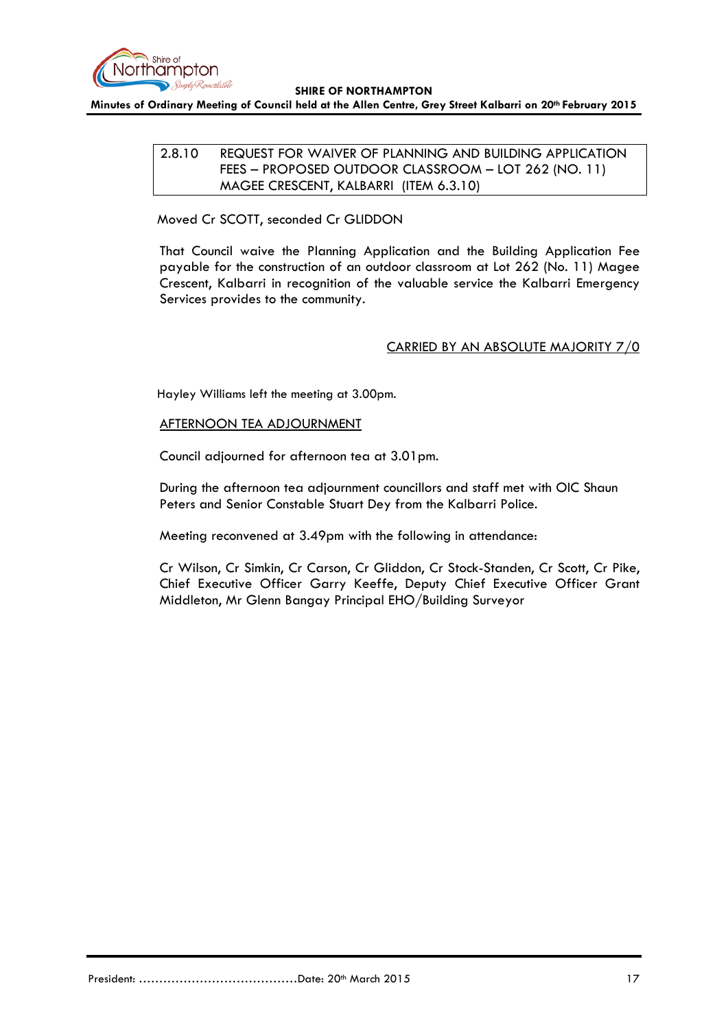

<span id="page-16-0"></span>**Minutes of Ordinary Meeting of Council held at the Allen Centre, Grey Street Kalbarri on 20th February 2015**

## 2.8.10 REQUEST FOR WAIVER OF PLANNING AND BUILDING APPLICATION FEES – PROPOSED OUTDOOR CLASSROOM – LOT 262 (NO. 11) MAGEE CRESCENT, KALBARRI (ITEM 6.3.10)

Moved Cr SCOTT, seconded Cr GLIDDON

That Council waive the Planning Application and the Building Application Fee payable for the construction of an outdoor classroom at Lot 262 (No. 11) Magee Crescent, Kalbarri in recognition of the valuable service the Kalbarri Emergency Services provides to the community.

# CARRIED BY AN ABSOLUTE MAJORITY 7/0

Hayley Williams left the meeting at 3.00pm.

### AFTERNOON TEA ADJOURNMENT

Council adjourned for afternoon tea at 3.01pm.

During the afternoon tea adjournment councillors and staff met with OIC Shaun Peters and Senior Constable Stuart Dey from the Kalbarri Police.

Meeting reconvened at 3.49pm with the following in attendance:

Cr Wilson, Cr Simkin, Cr Carson, Cr Gliddon, Cr Stock-Standen, Cr Scott, Cr Pike, Chief Executive Officer Garry Keeffe, Deputy Chief Executive Officer Grant Middleton, Mr Glenn Bangay Principal EHO/Building Surveyor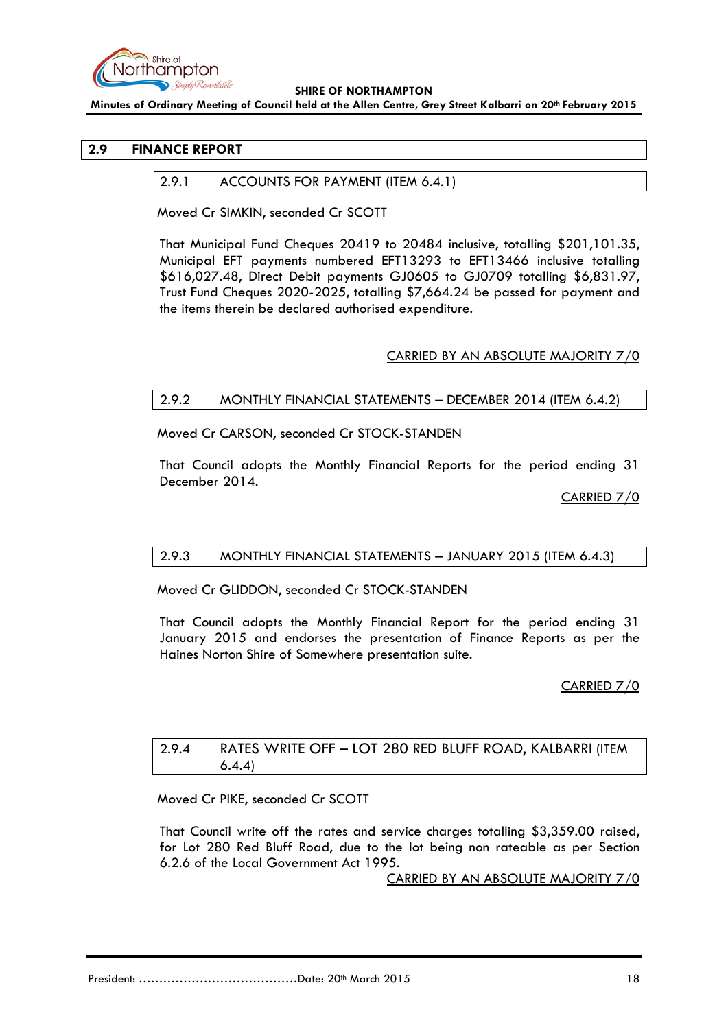

**Minutes of Ordinary Meeting of Council held at the Allen Centre, Grey Street Kalbarri on 20th February 2015**

## <span id="page-17-1"></span><span id="page-17-0"></span>**2.9 FINANCE REPORT**

#### 2.9.1 ACCOUNTS FOR PAYMENT (ITEM 6.4.1)

Moved Cr SIMKIN, seconded Cr SCOTT

That Municipal Fund Cheques 20419 to 20484 inclusive, totalling \$201,101.35, Municipal EFT payments numbered EFT13293 to EFT13466 inclusive totalling \$616,027.48, Direct Debit payments GJ0605 to GJ0709 totalling \$6,831.97, Trust Fund Cheques 2020-2025, totalling \$7,664.24 be passed for payment and the items therein be declared authorised expenditure.

### CARRIED BY AN ABSOLUTE MAJORITY 7/0

#### <span id="page-17-2"></span>2.9.2 MONTHLY FINANCIAL STATEMENTS – DECEMBER 2014 (ITEM 6.4.2)

Moved Cr CARSON, seconded Cr STOCK-STANDEN

That Council adopts the Monthly Financial Reports for the period ending 31 December 2014.

CARRIED 7/0

#### <span id="page-17-3"></span>2.9.3 MONTHLY FINANCIAL STATEMENTS – JANUARY 2015 (ITEM 6.4.3)

Moved Cr GLIDDON, seconded Cr STOCK-STANDEN

That Council adopts the Monthly Financial Report for the period ending 31 January 2015 and endorses the presentation of Finance Reports as per the Haines Norton Shire of Somewhere presentation suite.

#### CARRIED 7/0

## <span id="page-17-4"></span>2.9.4 RATES WRITE OFF – LOT 280 RED BLUFF ROAD, KALBARRI (ITEM 6.4.4)

Moved Cr PIKE, seconded Cr SCOTT

That Council write off the rates and service charges totalling \$3,359.00 raised, for Lot 280 Red Bluff Road, due to the lot being non rateable as per Section 6.2.6 of the Local Government Act 1995.

CARRIED BY AN ABSOLUTE MAJORITY 7/0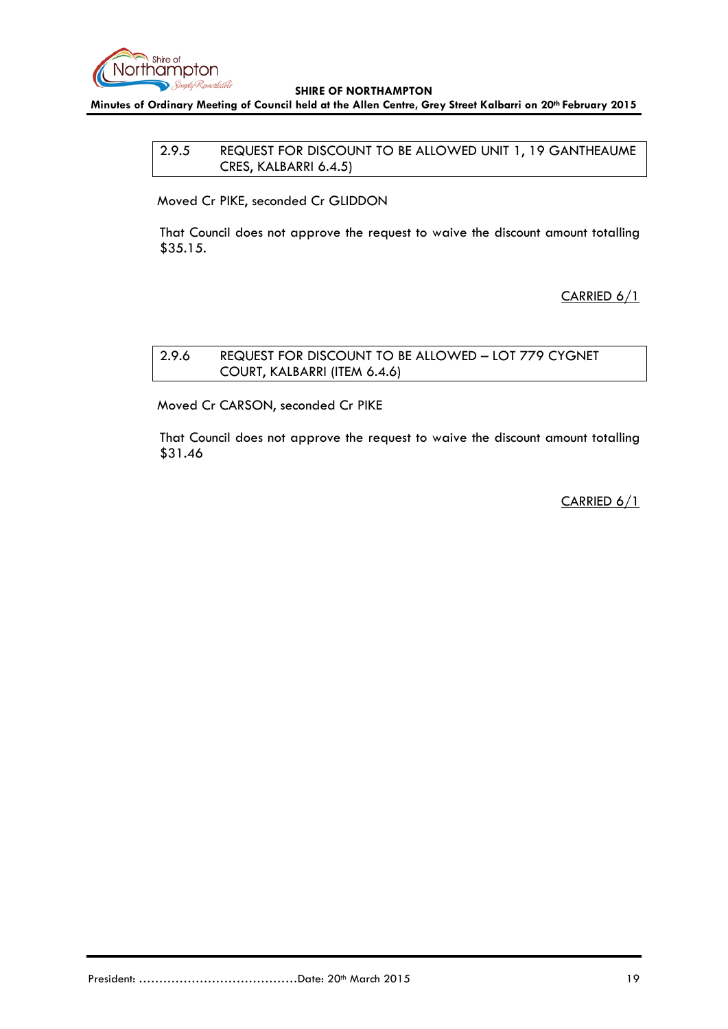

<span id="page-18-0"></span>**Minutes of Ordinary Meeting of Council held at the Allen Centre, Grey Street Kalbarri on 20th February 2015**

## 2.9.5 REQUEST FOR DISCOUNT TO BE ALLOWED UNIT 1, 19 GANTHEAUME CRES, KALBARRI 6.4.5)

Moved Cr PIKE, seconded Cr GLIDDON

That Council does not approve the request to waive the discount amount totalling \$35.15.

CARRIED 6/1

# <span id="page-18-1"></span>2.9.6 REQUEST FOR DISCOUNT TO BE ALLOWED – LOT 779 CYGNET COURT, KALBARRI (ITEM 6.4.6)

Moved Cr CARSON, seconded Cr PIKE

That Council does not approve the request to waive the discount amount totalling \$31.46

CARRIED 6/1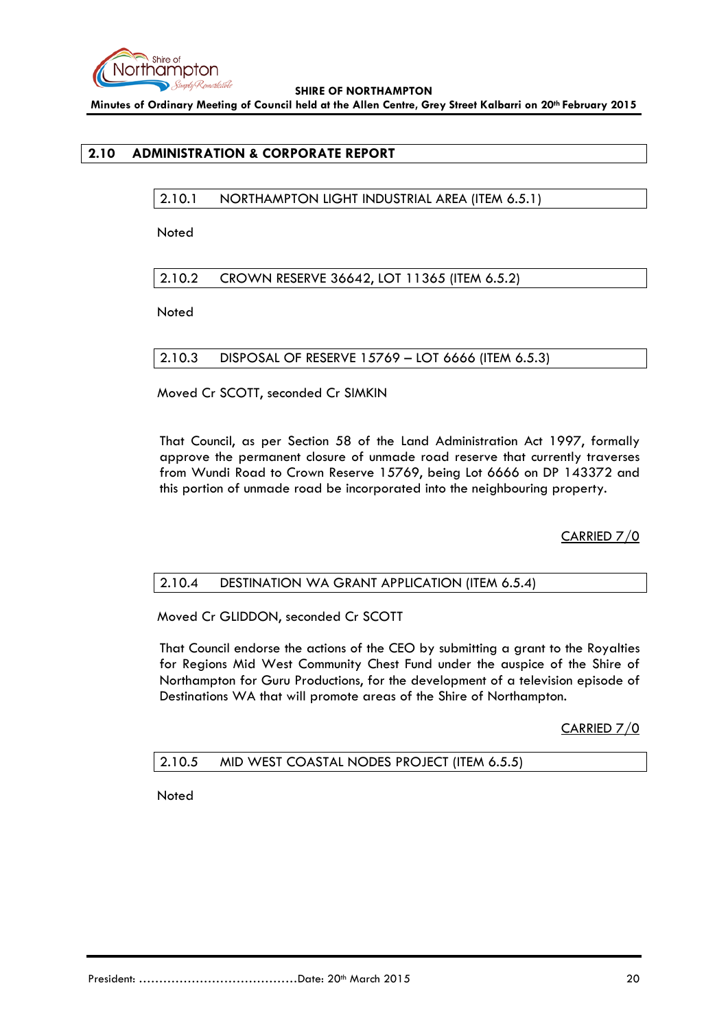

**Minutes of Ordinary Meeting of Council held at the Allen Centre, Grey Street Kalbarri on 20th February 2015**

# <span id="page-19-1"></span><span id="page-19-0"></span>**2.10 ADMINISTRATION & CORPORATE REPORT**

2.10.1 NORTHAMPTON LIGHT INDUSTRIAL AREA (ITEM 6.5.1)

**Noted** 

<span id="page-19-2"></span>2.10.2 CROWN RESERVE 36642, LOT 11365 (ITEM 6.5.2)

Noted

<span id="page-19-3"></span>2.10.3 DISPOSAL OF RESERVE 15769 – LOT 6666 (ITEM 6.5.3)

Moved Cr SCOTT, seconded Cr SIMKIN

That Council, as per Section 58 of the Land Administration Act 1997, formally approve the permanent closure of unmade road reserve that currently traverses from Wundi Road to Crown Reserve 15769, being Lot 6666 on DP 143372 and this portion of unmade road be incorporated into the neighbouring property.

CARRIED 7/0

### <span id="page-19-4"></span>2.10.4 DESTINATION WA GRANT APPLICATION (ITEM 6.5.4)

Moved Cr GLIDDON, seconded Cr SCOTT

That Council endorse the actions of the CEO by submitting a grant to the Royalties for Regions Mid West Community Chest Fund under the auspice of the Shire of Northampton for Guru Productions, for the development of a television episode of Destinations WA that will promote areas of the Shire of Northampton.

CARRIED 7/0

<span id="page-19-5"></span>2.10.5 MID WEST COASTAL NODES PROJECT (ITEM 6.5.5)

**Noted**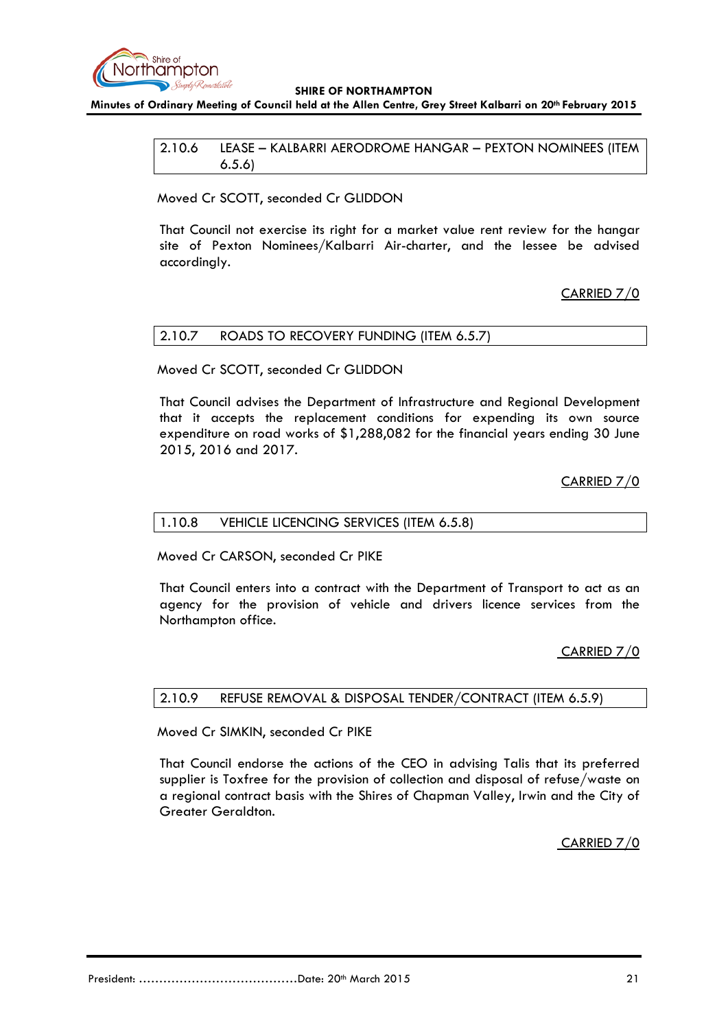

<span id="page-20-0"></span>**Minutes of Ordinary Meeting of Council held at the Allen Centre, Grey Street Kalbarri on 20th February 2015**

2.10.6 LEASE – KALBARRI AERODROME HANGAR – PEXTON NOMINEES (ITEM 6.5.6)

Moved Cr SCOTT, seconded Cr GLIDDON

That Council not exercise its right for a market value rent review for the hangar site of Pexton Nominees/Kalbarri Air-charter, and the lessee be advised accordingly.

CARRIED 7/0

### <span id="page-20-1"></span>2.10.7 ROADS TO RECOVERY FUNDING (ITEM 6.5.7)

Moved Cr SCOTT, seconded Cr GLIDDON

That Council advises the Department of Infrastructure and Regional Development that it accepts the replacement conditions for expending its own source expenditure on road works of \$1,288,082 for the financial years ending 30 June 2015, 2016 and 2017.

CARRIED 7/0

### <span id="page-20-2"></span>1.10.8 VEHICLE LICENCING SERVICES (ITEM 6.5.8)

Moved Cr CARSON, seconded Cr PIKE

That Council enters into a contract with the Department of Transport to act as an agency for the provision of vehicle and drivers licence services from the Northampton office.

CARRIED 7/0

<span id="page-20-3"></span>2.10.9 REFUSE REMOVAL & DISPOSAL TENDER/CONTRACT (ITEM 6.5.9)

Moved Cr SIMKIN, seconded Cr PIKE

That Council endorse the actions of the CEO in advising Talis that its preferred supplier is Toxfree for the provision of collection and disposal of refuse/waste on a regional contract basis with the Shires of Chapman Valley, Irwin and the City of Greater Geraldton.